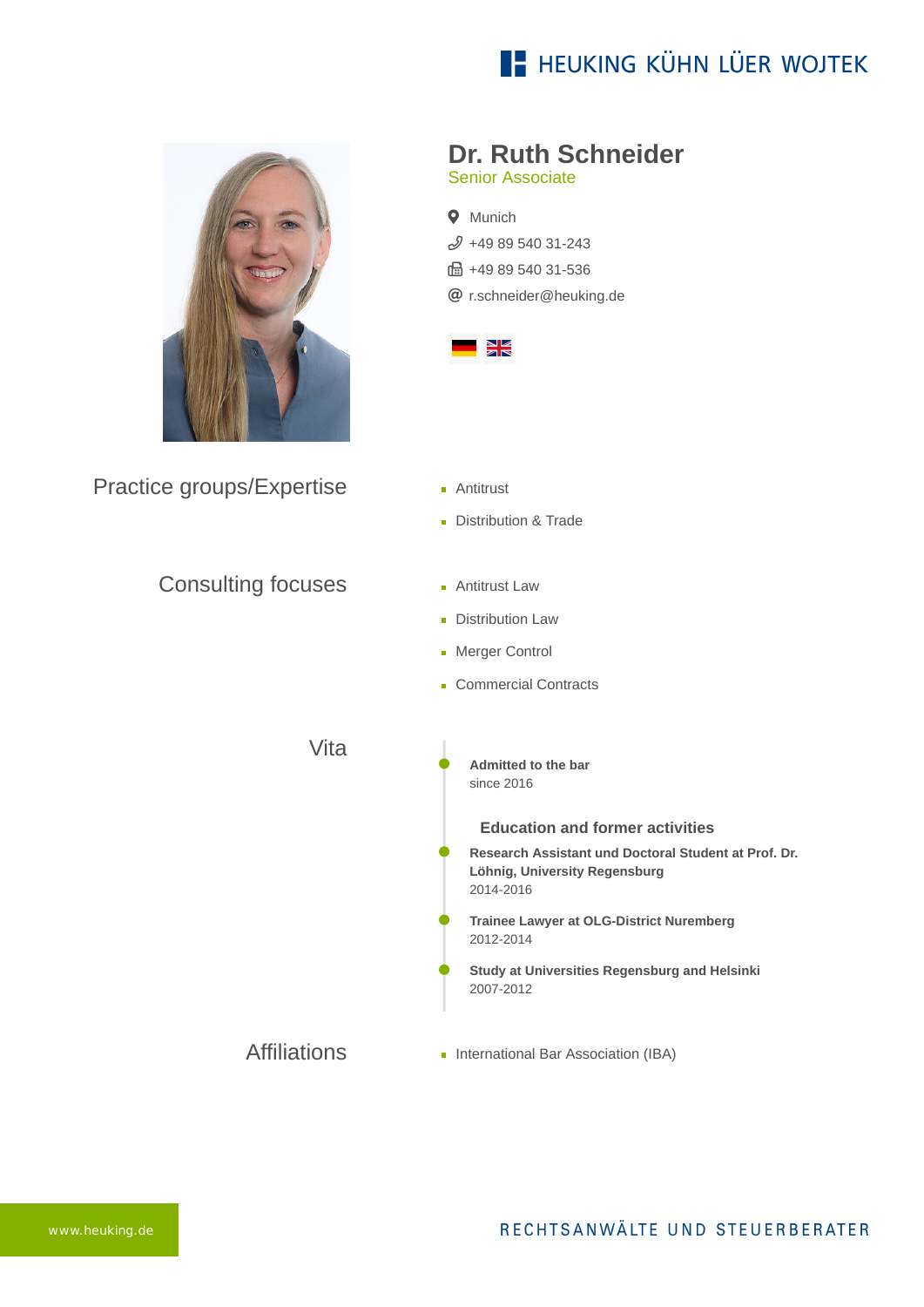# **E- HEUKING KÜHN LÜER WOJTEK**



Practice groups/Expertise

Consulting focuses

### **Dr. Ruth Schneider**

Senior Associate

**Q** Munich  $$498954031-243$ ft: +49 89 540 31-536 [r.schneider@heuking.de](mailto:r.schneider@heuking.de?subject=Contact%20via%20website%20heuking.de)



- **Antitrust**
- Distribution & Trade
- **Antitrust Law**
- **Distribution Law**
- **Merger Control**
- Commercial Contracts

Vita

**Admitted to the bar** since 2016

### **Education and former activities**

- **Research Assistant und Doctoral Student at Prof. Dr. Löhnig, University Regensburg** 2014-2016
- **Trainee Lawyer at OLG-District Nuremberg** 2012-2014
- **Study at Universities Regensburg and Helsinki** 2007-2012
- Affiliations **International Bar Association (IBA)**